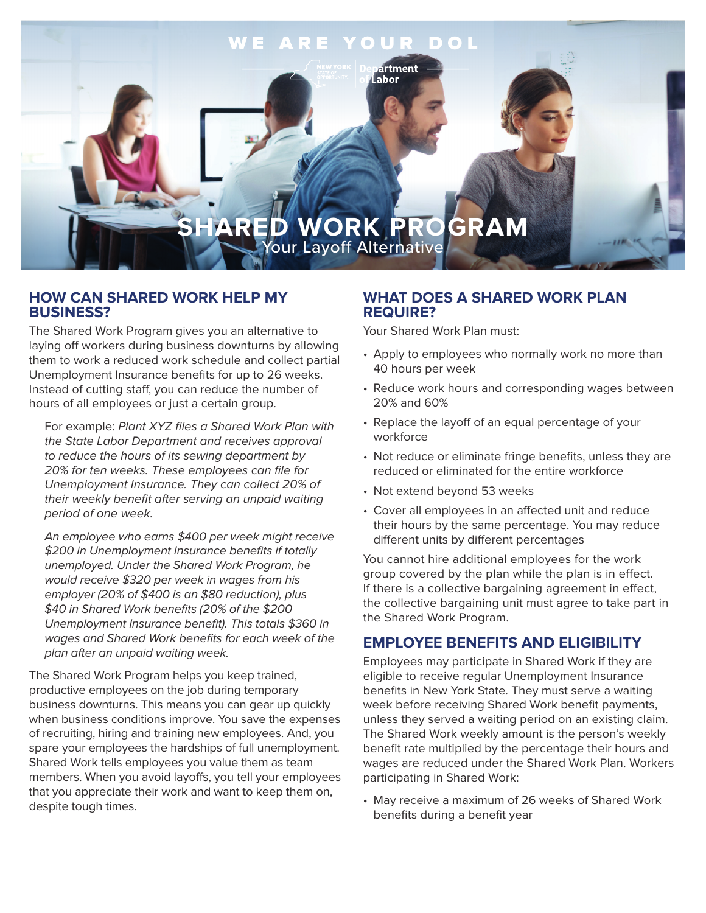

# **HOW CAN SHARED WORK HELP MY BUSINESS?**

The Shared Work Program gives you an alternative to laying off workers during business downturns by allowing them to work a reduced work schedule and collect partial Unemployment Insurance benefits for up to 26 weeks. Instead of cutting staff, you can reduce the number of hours of all employees or just a certain group.

For example: Plant XYZ files a Shared Work Plan with the State Labor Department and receives approval to reduce the hours of its sewing department by 20% for ten weeks. These employees can file for Unemployment Insurance. They can collect 20% of their weekly benefit after serving an unpaid waiting period of one week.

An employee who earns \$400 per week might receive \$200 in Unemployment Insurance benefits if totally unemployed. Under the Shared Work Program, he would receive \$320 per week in wages from his employer (20% of \$400 is an \$80 reduction), plus \$40 in Shared Work benefits (20% of the \$200 Unemployment Insurance benefit). This totals \$360 in wages and Shared Work benefits for each week of the plan after an unpaid waiting week.

The Shared Work Program helps you keep trained, productive employees on the job during temporary business downturns. This means you can gear up quickly when business conditions improve. You save the expenses of recruiting, hiring and training new employees. And, you spare your employees the hardships of full unemployment. Shared Work tells employees you value them as team members. When you avoid layoffs, you tell your employees that you appreciate their work and want to keep them on, despite tough times.

# **WHAT DOES A SHARED WORK PLAN REQUIRE?**

Your Shared Work Plan must:

- Apply to employees who normally work no more than 40 hours per week
- Reduce work hours and corresponding wages between 20% and 60%
- Replace the layoff of an equal percentage of your workforce
- Not reduce or eliminate fringe benefits, unless they are reduced or eliminated for the entire workforce
- Not extend beyond 53 weeks
- Cover all employees in an affected unit and reduce their hours by the same percentage. You may reduce different units by different percentages

You cannot hire additional employees for the work group covered by the plan while the plan is in effect. If there is a collective bargaining agreement in effect, the collective bargaining unit must agree to take part in the Shared Work Program.

# **EMPLOYEE BENEFITS AND ELIGIBILITY**

Employees may participate in Shared Work if they are eligible to receive regular Unemployment Insurance benefits in New York State. They must serve a waiting week before receiving Shared Work benefit payments, unless they served a waiting period on an existing claim. The Shared Work weekly amount is the person's weekly benefit rate multiplied by the percentage their hours and wages are reduced under the Shared Work Plan. Workers participating in Shared Work:

• May receive a maximum of 26 weeks of Shared Work benefits during a benefit year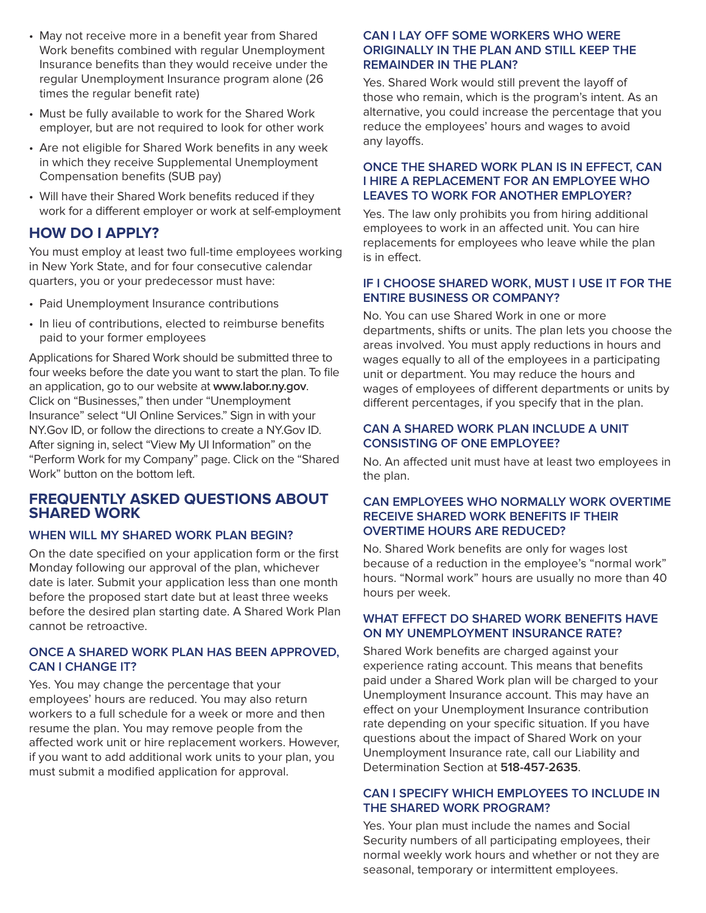- May not receive more in a benefit year from Shared Work benefits combined with regular Unemployment Insurance benefits than they would receive under the regular Unemployment Insurance program alone (26 times the regular benefit rate)
- Must be fully available to work for the Shared Work employer, but are not required to look for other work
- Are not eligible for Shared Work benefits in any week in which they receive Supplemental Unemployment Compensation benefits (SUB pay)
- Will have their Shared Work benefits reduced if they work for a different employer or work at self-employment

# **HOW DO I APPLY?**

You must employ at least two full-time employees working in New York State, and for four consecutive calendar quarters, you or your predecessor must have:

- Paid Unemployment Insurance contributions
- In lieu of contributions, elected to reimburse benefits paid to your former employees

Applications for Shared Work should be submitted three to four weeks before the date you want to start the plan. To file an application, go to our website at **www.labor.ny.gov**. Click on "Businesses," then under "Unemployment Insurance" select "UI Online Services." Sign in with your NY.Gov ID, or follow the directions to create a NY.Gov ID. After signing in, select "View My UI Information" on the "Perform Work for my Company" page. Click on the "Shared Work" button on the bottom left.

## **FREQUENTLY ASKED QUESTIONS ABOUT SHARED WORK**

## **WHEN WILL MY SHARED WORK PLAN BEGIN?**

On the date specified on your application form or the first Monday following our approval of the plan, whichever date is later. Submit your application less than one month before the proposed start date but at least three weeks before the desired plan starting date. A Shared Work Plan cannot be retroactive.

#### **ONCE A SHARED WORK PLAN HAS BEEN APPROVED, CAN I CHANGE IT?**

Yes. You may change the percentage that your employees' hours are reduced. You may also return workers to a full schedule for a week or more and then resume the plan. You may remove people from the affected work unit or hire replacement workers. However, if you want to add additional work units to your plan, you must submit a modified application for approval.

## **CAN I LAY OFF SOME WORKERS WHO WERE ORIGINALLY IN THE PLAN AND STILL KEEP THE REMAINDER IN THE PLAN?**

Yes. Shared Work would still prevent the layoff of those who remain, which is the program's intent. As an alternative, you could increase the percentage that you reduce the employees' hours and wages to avoid any layoffs.

### **ONCE THE SHARED WORK PLAN IS IN EFFECT, CAN I HIRE A REPLACEMENT FOR AN EMPLOYEE WHO LEAVES TO WORK FOR ANOTHER EMPLOYER?**

Yes. The law only prohibits you from hiring additional employees to work in an affected unit. You can hire replacements for employees who leave while the plan is in effect.

#### **IF I CHOOSE SHARED WORK, MUST I USE IT FOR THE ENTIRE BUSINESS OR COMPANY?**

No. You can use Shared Work in one or more departments, shifts or units. The plan lets you choose the areas involved. You must apply reductions in hours and wages equally to all of the employees in a participating unit or department. You may reduce the hours and wages of employees of different departments or units by different percentages, if you specify that in the plan.

## **CAN A SHARED WORK PLAN INCLUDE A UNIT CONSISTING OF ONE EMPLOYEE?**

No. An affected unit must have at least two employees in the plan.

## **CAN EMPLOYEES WHO NORMALLY WORK OVERTIME RECEIVE SHARED WORK BENEFITS IF THEIR OVERTIME HOURS ARE REDUCED?**

No. Shared Work benefits are only for wages lost because of a reduction in the employee's "normal work" hours. "Normal work" hours are usually no more than 40 hours per week.

#### **WHAT EFFECT DO SHARED WORK BENEFITS HAVE ON MY UNEMPLOYMENT INSURANCE RATE?**

Shared Work benefits are charged against your experience rating account. This means that benefits paid under a Shared Work plan will be charged to your Unemployment Insurance account. This may have an effect on your Unemployment Insurance contribution rate depending on your specific situation. If you have questions about the impact of Shared Work on your Unemployment Insurance rate, call our Liability and Determination Section at **518-457-2635**.

## **CAN I SPECIFY WHICH EMPLOYEES TO INCLUDE IN THE SHARED WORK PROGRAM?**

Yes. Your plan must include the names and Social Security numbers of all participating employees, their normal weekly work hours and whether or not they are seasonal, temporary or intermittent employees.